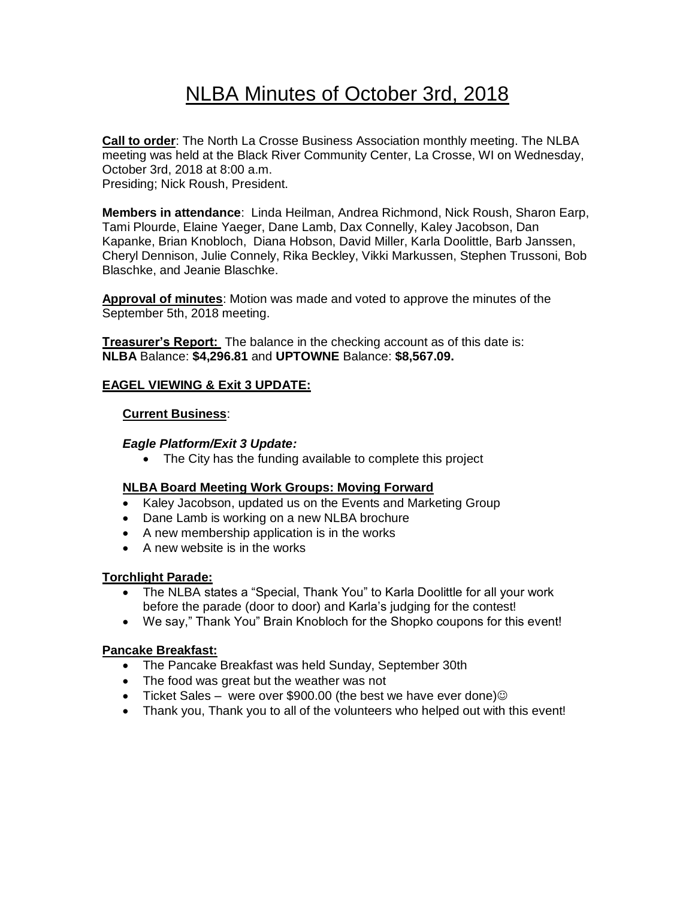# NLBA Minutes of October 3rd, 2018

**Call to order**: The North La Crosse Business Association monthly meeting. The NLBA meeting was held at the Black River Community Center, La Crosse, WI on Wednesday, October 3rd, 2018 at 8:00 a.m. Presiding; Nick Roush, President.

**Members in attendance**: Linda Heilman, Andrea Richmond, Nick Roush, Sharon Earp, Tami Plourde, Elaine Yaeger, Dane Lamb, Dax Connelly, Kaley Jacobson, Dan Kapanke, Brian Knobloch, Diana Hobson, David Miller, Karla Doolittle, Barb Janssen, Cheryl Dennison, Julie Connely, Rika Beckley, Vikki Markussen, Stephen Trussoni, Bob Blaschke, and Jeanie Blaschke.

**Approval of minutes**: Motion was made and voted to approve the minutes of the September 5th, 2018 meeting.

**Treasurer's Report:** The balance in the checking account as of this date is: **NLBA** Balance: **\$4,296.81** and **UPTOWNE** Balance: **\$8,567.09.**

## **EAGEL VIEWING & Exit 3 UPDATE:**

### **Current Business**:

### *Eagle Platform/Exit 3 Update:*

• The City has the funding available to complete this project

## **NLBA Board Meeting Work Groups: Moving Forward**

- Kaley Jacobson, updated us on the Events and Marketing Group
- Dane Lamb is working on a new NLBA brochure
- A new membership application is in the works
- A new website is in the works

## **Torchlight Parade:**

- The NLBA states a "Special, Thank You" to Karla Doolittle for all your work before the parade (door to door) and Karla's judging for the contest!
- We say," Thank You" Brain Knobloch for the Shopko coupons for this event!

## **Pancake Breakfast:**

- The Pancake Breakfast was held Sunday, September 30th
- The food was great but the weather was not
- Ticket Sales were over \$900.00 (the best we have ever done) $\odot$
- Thank you, Thank you to all of the volunteers who helped out with this event!